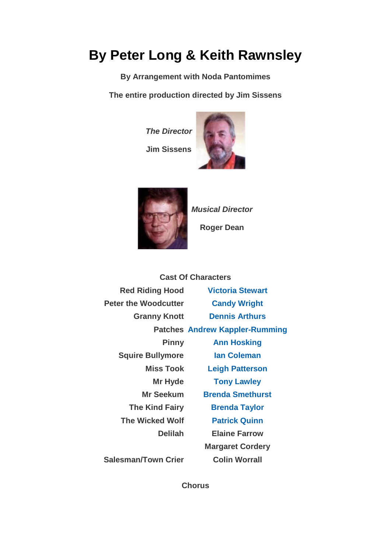## **By Peter Long & Keith Rawnsley**

**By Arrangement with Noda Pantomimes**

**The entire production directed by Jim Sissens**

*The Director*

**Jim Sissens**





*Musical Director*

**Roger Dean**

|                             | <b>Cast Of Characters</b>             |
|-----------------------------|---------------------------------------|
| <b>Red Riding Hood</b>      | <b>Victoria Stewart</b>               |
| <b>Peter the Woodcutter</b> | <b>Candy Wright</b>                   |
| <b>Granny Knott</b>         | <b>Dennis Arthurs</b>                 |
|                             | <b>Patches Andrew Kappler-Rumming</b> |
| <b>Pinny</b>                | <b>Ann Hosking</b>                    |
| <b>Squire Bullymore</b>     | lan Coleman                           |
| <b>Miss Took</b>            | <b>Leigh Patterson</b>                |
| Mr Hyde                     | <b>Tony Lawley</b>                    |
| Mr Seekum                   | <b>Brenda Smethurst</b>               |
| <b>The Kind Fairy</b>       | <b>Brenda Taylor</b>                  |
| <b>The Wicked Wolf</b>      | <b>Patrick Quinn</b>                  |
| <b>Delilah</b>              | <b>Elaine Farrow</b>                  |
|                             | <b>Margaret Cordery</b>               |
| <b>Salesman/Town Crier</b>  | <b>Colin Worrall</b>                  |

**Chorus**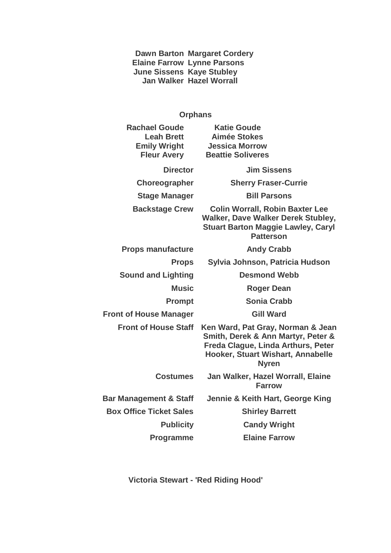**Dawn Barton Elaine Farrow June Sissens Jan Walker Margaret Cordery Lynne Parsons Kaye Stubley Hazel Worrall**

## **Orphans**

| <b>Rachael Goude</b><br><b>Leah Brett</b><br><b>Emily Wright</b><br><b>Fleur Avery</b> | <b>Katie Goude</b><br><b>Aimée Stokes</b><br><b>Jessica Morrow</b><br><b>Beattie Soliveres</b>                                                                     |
|----------------------------------------------------------------------------------------|--------------------------------------------------------------------------------------------------------------------------------------------------------------------|
| <b>Director</b>                                                                        | <b>Jim Sissens</b>                                                                                                                                                 |
| Choreographer                                                                          | <b>Sherry Fraser-Currie</b>                                                                                                                                        |
| <b>Stage Manager</b>                                                                   | <b>Bill Parsons</b>                                                                                                                                                |
| <b>Backstage Crew</b>                                                                  | <b>Colin Worrall, Robin Baxter Lee</b><br><b>Walker, Dave Walker Derek Stubley,</b><br><b>Stuart Barton Maggie Lawley, Caryl</b><br><b>Patterson</b>               |
| <b>Props manufacture</b>                                                               | <b>Andy Crabb</b>                                                                                                                                                  |
| <b>Props</b>                                                                           | Sylvia Johnson, Patricia Hudson                                                                                                                                    |
| <b>Sound and Lighting</b>                                                              | <b>Desmond Webb</b>                                                                                                                                                |
| <b>Music</b>                                                                           | <b>Roger Dean</b>                                                                                                                                                  |
| <b>Prompt</b>                                                                          | <b>Sonia Crabb</b>                                                                                                                                                 |
| <b>Front of House Manager</b>                                                          | <b>Gill Ward</b>                                                                                                                                                   |
| <b>Front of House Staff</b>                                                            | Ken Ward, Pat Gray, Norman & Jean<br>Smith, Derek & Ann Martyr, Peter &<br>Freda Clague, Linda Arthurs, Peter<br>Hooker, Stuart Wishart, Annabelle<br><b>Nyren</b> |
| <b>Costumes</b>                                                                        | Jan Walker, Hazel Worrall, Elaine<br><b>Farrow</b>                                                                                                                 |
| <b>Bar Management &amp; Staff</b>                                                      | Jennie & Keith Hart, George King                                                                                                                                   |
| <b>Box Office Ticket Sales</b>                                                         | <b>Shirley Barrett</b>                                                                                                                                             |
| <b>Publicity</b>                                                                       | <b>Candy Wright</b>                                                                                                                                                |
| <b>Programme</b>                                                                       | <b>Elaine Farrow</b>                                                                                                                                               |

**Victoria Stewart - 'Red Riding Hood'**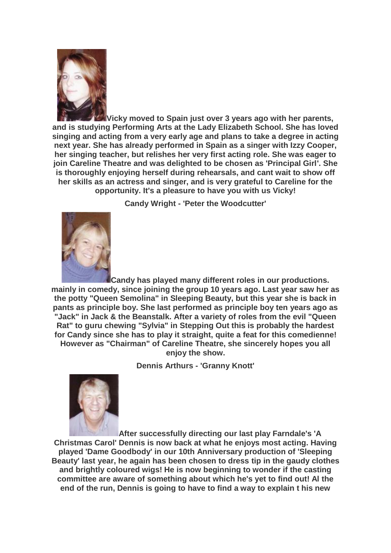

**Vicky moved to Spain just over 3 years ago with her parents, and is studying Performing Arts at the Lady Elizabeth School. She has loved singing and acting from a very early age and plans to take a degree in acting next year. She has already performed in Spain as a singer with Izzy Cooper, her singing teacher, but relishes her very first acting role. She was eager to join Careline Theatre and was delighted to be chosen as 'Principal Girl'. She is thoroughly enjoying herself during rehearsals, and cant wait to show off her skills as an actress and singer, and is very grateful to Careline for the opportunity. It's a pleasure to have you with us Vicky!**

**Candy Wright - 'Peter the Woodcutter'**



**Candy has played many different roles in our productions. mainly in comedy, since joining the group 10 years ago. Last year saw her as the potty "Queen Semolina" in Sleeping Beauty, but this year she is back in pants as principle boy. She last performed as principle boy ten years ago as "Jack" in Jack & the Beanstalk. After a variety of roles from the evil "Queen Rat" to guru chewing "Sylvia" in Stepping Out this is probably the hardest for Candy since she has to play it straight, quite a feat for this comedienne! However as "Chairman" of Careline Theatre, she sincerely hopes you all enjoy the show.**

**Dennis Arthurs - 'Granny Knott'**



**After successfully directing our last play Farndale's 'A Christmas Carol' Dennis is now back at what he enjoys most acting. Having played 'Dame Goodbody' in our 10th Anniversary production of 'Sleeping Beauty' last year, he again has been chosen to dress tip in the gaudy clothes and brightly coloured wigs! He is now beginning to wonder if the casting committee are aware of something about which he's yet to find out! Al the end of the run, Dennis is going to have to find a way to explain t his new**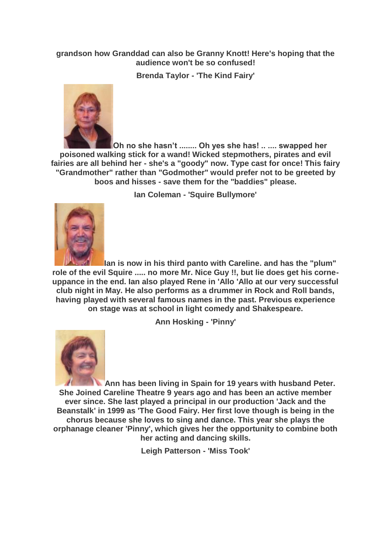## **grandson how Granddad can also be Granny Knott! Here's hoping that the audience won't be so confused!**

**Brenda Taylor - 'The Kind Fairy'**



**Oh no she hasn't ........ Oh yes she has! .. .... swapped her poisoned walking stick for a wand! Wicked stepmothers, pirates and evil fairies are all behind her - she's a "goody" now. Type cast for once! This fairy "Grandmother" rather than "Godmother" would prefer not to be greeted by boos and hisses - save them for the "baddies" please.**

**Ian Coleman - 'Squire Bullymore'**



**Ian is now in his third panto with Careline. and has the "plum" role of the evil Squire ..... no more Mr. Nice Guy !!, but lie does get his corneuppance in the end. Ian also played Rene in 'Allo 'Allo at our very successful club night in May. He also performs as a drummer in Rock and Roll bands, having played with several famous names in the past. Previous experience on stage was at school in light comedy and Shakespeare.**

**Ann Hosking - 'Pinny'**



**Ann has been living in Spain for 19 years with husband Peter. She Joined Careline Theatre 9 years ago and has been an active member ever since. She last played a principal in our production 'Jack and the Beanstalk' in 1999 as 'The Good Fairy. Her first love though is being in the chorus because she loves to sing and dance. This year she plays the orphanage cleaner 'Pinny', which gives her the opportunity to combine both her acting and dancing skills.**

**Leigh Patterson - 'Miss Took'**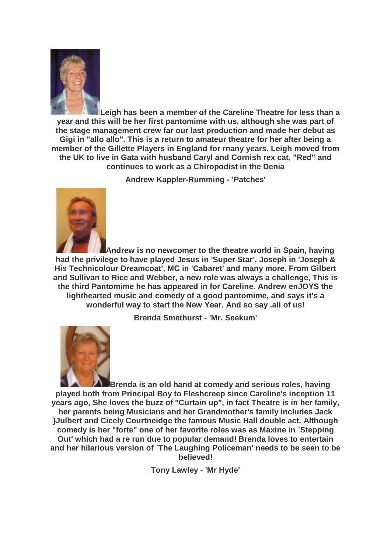

**Leigh has been a member of the Careline Theatre for less than a year and this will be her first pantomime with us, although she was part of the stage management crew far our last production and made her debut as Gigi in "allo allo". This is a return to amateur theatre for her after being a member of the Gillette Players in England for rnany years. Leigh moved from the UK to live in Gata with husband Caryl and Cornish rex cat, "Red" and continues to work as a Chiropodist in the Denia**

**Andrew Kappler-Rumming - 'Patches'**



**Andrew is no newcomer to the theatre world in Spain, having had the privilege to have played Jesus in 'Super Star', Joseph in 'Joseph & His Technicolour Dreamcoat', MC in 'Cabaret' and many more. From Gilbert and Sullivan to Rice and Webber, a new role was always a challenge, This is the third Pantomime he has appeared in for Careline. Andrew enJOYS the lighthearted music and comedy of a good pantomime, and says it's a wonderful way to start the New Year. And so say .all of us!**

**Brenda Smethurst - 'Mr. Seekum'**



**Brenda is an old hand at comedy and serious roles, having played both from Principal Boy to Fleshcreep since Careline's inception 11 years ago, She loves the buzz of "Curtain up", in fact Theatre is in her family, her parents being Musicians and her Grandmother's family includes Jack }Julbert and Cicely Courtneidge the famous Music Hall double act. Although comedy is her "forte" one of her favorite roles was as Maxine in `Stepping Out' which had a re run due to popular demand! Brenda loves to entertain and her hilarious version of `The Laughing Policeman' needs to be seen to be believed!**

**Tony Lawley - 'Mr Hyde'**